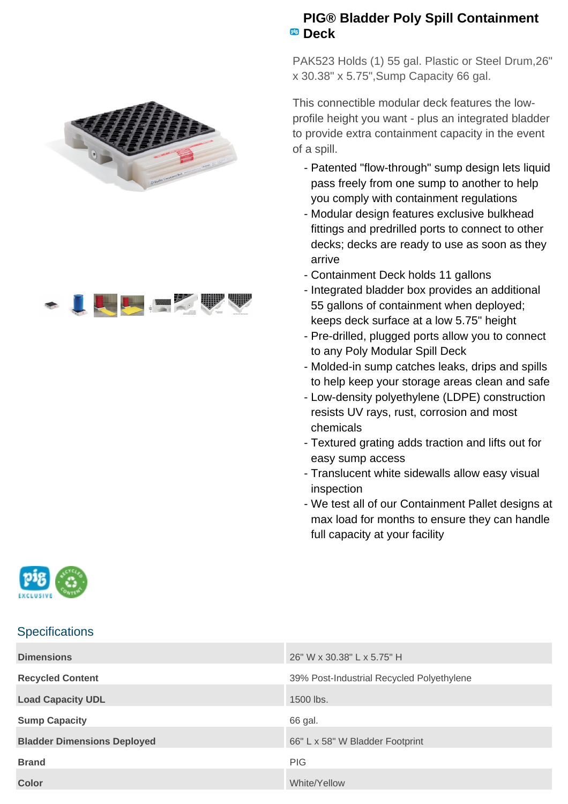



## **PIG® Bladder Poly Spill Containment Deck**

PAK523 Holds (1) 55 gal. Plastic or Steel Drum,26" x 30.38" x 5.75",Sump Capacity 66 gal.

This connectible modular deck features the lowprofile height you want - plus an integrated bladder to provide extra containment capacity in the event of a spill.

- Patented "flow-through" sump design lets liquid pass freely from one sump to another to help you comply with containment regulations
- Modular design features exclusive bulkhead fittings and predrilled ports to connect to other decks; decks are ready to use as soon as they arrive
- Containment Deck holds 11 gallons
- Integrated bladder box provides an additional 55 gallons of containment when deployed; keeps deck surface at a low 5.75" height
- Pre-drilled, plugged ports allow you to connect to any Poly Modular Spill Deck
- Molded-in sump catches leaks, drips and spills to help keep your storage areas clean and safe
- Low-density polyethylene (LDPE) construction resists UV rays, rust, corrosion and most chemicals
- Textured grating adds traction and lifts out for easy sump access
- Translucent white sidewalls allow easy visual inspection
- We test all of our Containment Pallet designs at max load for months to ensure they can handle full capacity at your facility



## **Specifications**

| <b>Dimensions</b>                  | 26" W x 30.38" L x 5.75" H                |
|------------------------------------|-------------------------------------------|
| <b>Recycled Content</b>            | 39% Post-Industrial Recycled Polyethylene |
| <b>Load Capacity UDL</b>           | 1500 lbs.                                 |
| <b>Sump Capacity</b>               | 66 gal.                                   |
| <b>Bladder Dimensions Deployed</b> | 66" L x 58" W Bladder Footprint           |
| <b>Brand</b>                       | <b>PIG</b>                                |
| <b>Color</b>                       | White/Yellow                              |